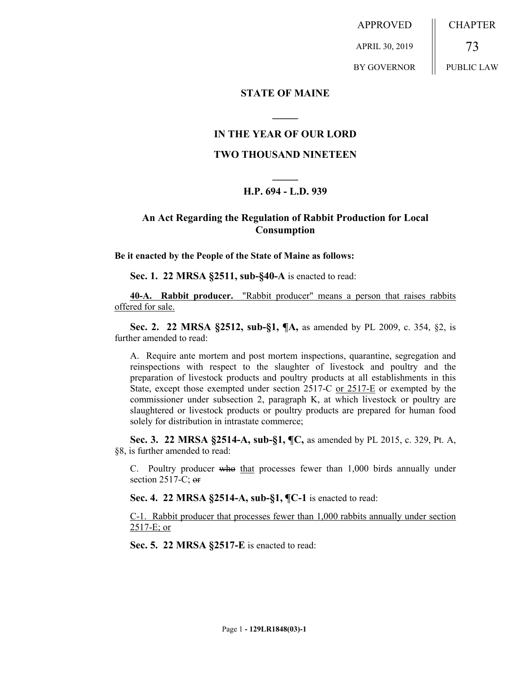APPROVED APRIL 30, 2019 BY GOVERNOR **CHAPTER** 73 PUBLIC LAW

### **STATE OF MAINE**

### **IN THE YEAR OF OUR LORD**

**\_\_\_\_\_**

## **TWO THOUSAND NINETEEN**

# **\_\_\_\_\_ H.P. 694 - L.D. 939**

## **An Act Regarding the Regulation of Rabbit Production for Local Consumption**

**Be it enacted by the People of the State of Maine as follows:**

**Sec. 1. 22 MRSA §2511, sub-§40-A** is enacted to read:

**40-A. Rabbit producer.** "Rabbit producer" means a person that raises rabbits offered for sale.

**Sec. 2. 22 MRSA §2512, sub-§1, ¶A,** as amended by PL 2009, c. 354, §2, is further amended to read:

A. Require ante mortem and post mortem inspections, quarantine, segregation and reinspections with respect to the slaughter of livestock and poultry and the preparation of livestock products and poultry products at all establishments in this State, except those exempted under section 2517-C or 2517-E or exempted by the commissioner under subsection 2, paragraph K, at which livestock or poultry are slaughtered or livestock products or poultry products are prepared for human food solely for distribution in intrastate commerce;

**Sec. 3. 22 MRSA §2514-A, sub-§1, ¶C,** as amended by PL 2015, c. 329, Pt. A, §8, is further amended to read:

C. Poultry producer who that processes fewer than 1,000 birds annually under section  $2517-C$ ; or

**Sec. 4. 22 MRSA §2514-A, sub-§1, ¶C-1** is enacted to read:

C-1. Rabbit producer that processes fewer than 1,000 rabbits annually under section 2517-E; or

**Sec. 5. 22 MRSA §2517-E** is enacted to read: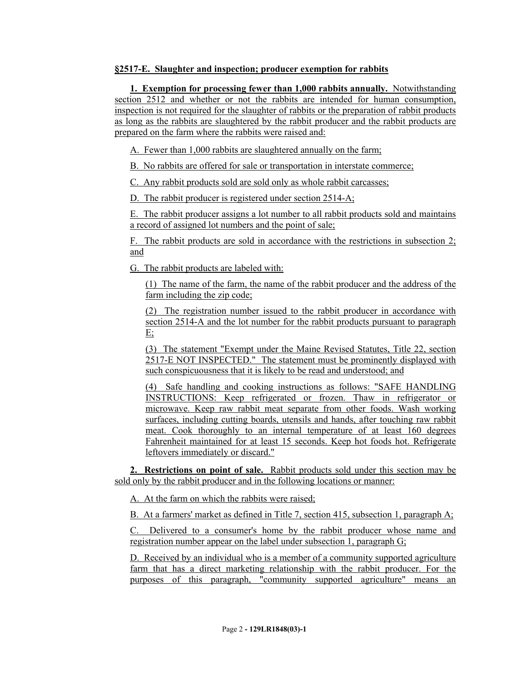## **§2517-E. Slaughter and inspection; producer exemption for rabbits**

**1. Exemption for processing fewer than 1,000 rabbits annually.** Notwithstanding section 2512 and whether or not the rabbits are intended for human consumption, inspection is not required for the slaughter of rabbits or the preparation of rabbit products as long as the rabbits are slaughtered by the rabbit producer and the rabbit products are prepared on the farm where the rabbits were raised and:

A. Fewer than 1,000 rabbits are slaughtered annually on the farm;

B. No rabbits are offered for sale or transportation in interstate commerce;

C. Any rabbit products sold are sold only as whole rabbit carcasses;

D. The rabbit producer is registered under section 2514-A;

E. The rabbit producer assigns a lot number to all rabbit products sold and maintains a record of assigned lot numbers and the point of sale;

F. The rabbit products are sold in accordance with the restrictions in subsection 2; and

G. The rabbit products are labeled with:

(1) The name of the farm, the name of the rabbit producer and the address of the farm including the zip code;

(2) The registration number issued to the rabbit producer in accordance with section 2514-A and the lot number for the rabbit products pursuant to paragraph E;

(3) The statement "Exempt under the Maine Revised Statutes, Title 22, section 2517-E NOT INSPECTED." The statement must be prominently displayed with such conspicuousness that it is likely to be read and understood; and

(4) Safe handling and cooking instructions as follows: "SAFE HANDLING INSTRUCTIONS: Keep refrigerated or frozen. Thaw in refrigerator or microwave. Keep raw rabbit meat separate from other foods. Wash working surfaces, including cutting boards, utensils and hands, after touching raw rabbit meat. Cook thoroughly to an internal temperature of at least 160 degrees Fahrenheit maintained for at least 15 seconds. Keep hot foods hot. Refrigerate leftovers immediately or discard."

**2. Restrictions on point of sale.** Rabbit products sold under this section may be sold only by the rabbit producer and in the following locations or manner:

A. At the farm on which the rabbits were raised;

B. At a farmers' market as defined in Title 7, section 415, subsection 1, paragraph A;

C. Delivered to a consumer's home by the rabbit producer whose name and registration number appear on the label under subsection 1, paragraph G;

D. Received by an individual who is a member of a community supported agriculture farm that has a direct marketing relationship with the rabbit producer. For the purposes of this paragraph, "community supported agriculture" means an